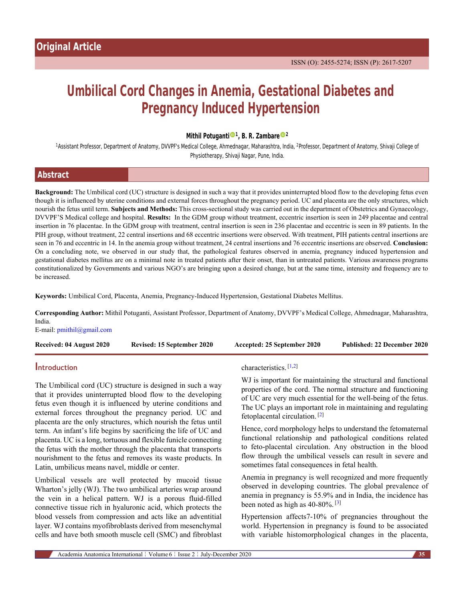# **Umbilical Cord Changes in Anemia, Gestational Diabetes and Pregnancy Induced Hypertension**

**Mithil Potugant[i](https://orcid.org/0000-0002-5746-5760) <sup>1</sup> , B. R. Zambar[e](https://orcid.org/0000-0003-1325-8732) <sup>2</sup>**

<sup>1</sup>Assistant Professor, Department of Anatomy, DVVPF's Medical College, Ahmednagar, Maharashtra, India, <sup>2</sup>Professor, Department of Anatomy, Shivaji College of Physiotherapy, Shivaji Nagar, Pune, India.

| <b>Abstract</b> |  |
|-----------------|--|
|                 |  |

**Background:** The Umbilical cord (UC) structure is designed in such a way that it provides uninterrupted blood flow to the developing fetus even though it is influenced by uterine conditions and external forces throughout the pregnancy period. UC and placenta are the only structures, which nourish the fetus until term. **Subjects and Methods:** This cross-sectional study was carried out in the department of Obstetrics and Gynaecology, DVVPF'S Medical college and hospital. **Results:** In the GDM group without treatment, eccentric insertion is seen in 249 placentae and central insertion in 76 placentae. In the GDM group with treatment, central insertion is seen in 236 placentae and eccentric is seen in 89 patients. In the PIH group, without treatment, 22 central insertions and 68 eccentric insertions were observed. With treatment, PIH patients central insertions are seen in 76 and eccentric in 14. In the anemia group without treatment, 24 central insertions and 76 eccentric insertions are observed. **Conclusion:** On a concluding note, we observed in our study that, the pathological features observed in anemia, pregnancy induced hypertension and gestational diabetes mellitus are on a minimal note in treated patients after their onset, than in untreated patients. Various awareness programs constitutionalized by Governments and various NGO's are bringing upon a desired change, but at the same time, intensity and frequency are to be increased.

**Keywords:** Umbilical Cord, Placenta, Anemia, Pregnancy-Induced Hypertension, Gestational Diabetes Mellitus.

**Corresponding Author:** Mithil Potuganti, Assistant Professor, Department of Anatomy, DVVPF's Medical College, Ahmednagar, Maharashtra, India.

E-mail: [pmithil@gmail.com](mailto:pmithil@gmail.com)

| Received: 04 August 2020 | Revised: 15 September 2020 | Accepted: 25 September 2020 | Published: 22 December 2020 |
|--------------------------|----------------------------|-----------------------------|-----------------------------|
|                          |                            |                             |                             |

## **Introduction**

The Umbilical cord (UC) structure is designed in such a way that it provides uninterrupted blood flow to the developing fetus even though it is influenced by uterine conditions and external forces throughout the pregnancy period. UC and placenta are the only structures, which nourish the fetus until term. An infant's life begins by sacrificing the life of UC and placenta. UC is a long, tortuous and flexible funicle connecting the fetus with the mother through the placenta that transports nourishment to the fetus and removes its waste products. In Latin, umbilicus means navel, middle or center.

Umbilical vessels are well protected by mucoid tissue Wharton's jelly (WJ). The two umbilical arteries wrap around the vein in a helical pattern. WJ is a porous fluid-filled connective tissue rich in hyaluronic acid, which protects the blood vessels from compression and acts like an adventitial layer. WJ contains myofibroblasts derived from mesenchymal cells and have both smooth muscle cell (SMC) and fibroblast

## characteristics. [\[1](#page-4-0)[,2\]](#page-4-1)

WJ is important for maintaining the structural and functional properties of the cord. The normal structure and functioning of UC are very much essential for the well-being of the fetus. The UC plays an important role in maintaining and regulating fetoplacental circulation. [[2](#page-4-1)]

Hence, cord morphology helps to understand the fetomaternal functional relationship and pathological conditions related to feto-placental circulation. Any obstruction in the blood flow through the umbilical vessels can result in severe and sometimes fatal consequences in fetal health.

Anemia in pregnancy is well recognized and more frequently observed in developing countries. The global prevalence of anemia in pregnancy is 55.9% and in India, the incidence has been noted as high as 40-80%. [\[3\]](#page-4-2)

Hypertension affects7-10% of pregnancies throughout the world. Hypertension in pregnancy is found to be associated with variable histomorphological changes in the placenta,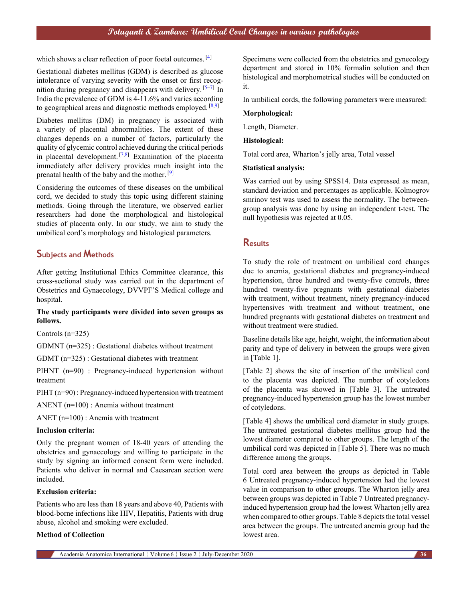which shows a clear reflection of poor foetal outcomes. [\[4\]](#page-4-3)

Gestational diabetes mellitus (GDM) is described as glucose intolerance of varying severity with the onset or first recog-nition during pregnancy and disappears with delivery.<sup>[[5](#page-4-4)-[7](#page-4-5)]</sup> In India the prevalence of GDM is 4-11.6% and varies according to geographical areas and diagnostic methods employed.  $[8,9]$  $[8,9]$  $[8,9]$  $[8,9]$  $[8,9]$ 

Diabetes mellitus (DM) in pregnancy is associated with a variety of placental abnormalities. The extent of these changes depends on a number of factors, particularly the quality of glycemic control achieved during the critical periods in placental development.  $[7,8]$  $[7,8]$  Examination of the placenta immediately after delivery provides much insight into the prenatal health of the baby and the mother. [\[9\]](#page-5-1)

Considering the outcomes of these diseases on the umbilical cord, we decided to study this topic using different staining methods. Going through the literature, we observed earlier researchers had done the morphological and histological studies of placenta only. In our study, we aim to study the umbilical cord's morphology and histological parameters.

## **Subjects and Methods**

After getting Institutional Ethics Committee clearance, this cross-sectional study was carried out in the department of Obstetrics and Gynaecology, DVVPF'S Medical college and hospital.

### **The study participants were divided into seven groups as follows.**

Controls (n=325)

GDMNT (n=325) : Gestational diabetes without treatment

GDMT (n=325) : Gestational diabetes with treatment

PIHNT (n=90) : Pregnancy-induced hypertension without treatment

PIHT (n=90) : Pregnancy-induced hypertension with treatment

ANENT (n=100) : Anemia without treatment

ANET (n=100) : Anemia with treatment

#### **Inclusion criteria:**

Only the pregnant women of 18-40 years of attending the obstetrics and gynaecology and willing to participate in the study by signing an informed consent form were included. Patients who deliver in normal and Caesarean section were included.

#### **Exclusion criteria:**

Patients who are less than 18 years and above 40, Patients with blood-borne infections like HIV, Hepatitis, Patients with drug abuse, alcohol and smoking were excluded.

#### **Method of Collection**

Specimens were collected from the obstetrics and gynecology department and stored in 10% formalin solution and then histological and morphometrical studies will be conducted on it.

In umbilical cords, the following parameters were measured:

#### **Morphological:**

Length, Diameter.

#### **Histological:**

Total cord area, Wharton's jelly area, Total vessel

#### **Statistical analysis:**

Was carried out by using SPSS14. Data expressed as mean, standard deviation and percentages as applicable. Kolmogrov smrinov test was used to assess the normality. The betweengroup analysis was done by using an independent t-test. The null hypothesis was rejected at 0.05.

## **Results**

To study the role of treatment on umbilical cord changes due to anemia, gestational diabetes and pregnancy-induced hypertension, three hundred and twenty-five controls, three hundred twenty-five pregnants with gestational diabetes with treatment, without treatment, ninety pregnancy-induced hypertensives with treatment and without treatment, one hundred pregnants with gestational diabetes on treatment and without treatment were studied.

Baseline details like age, height, weight, the information about parity and type of delivery in between the groups were given in [Table 1].

[Table 2] shows the site of insertion of the umbilical cord to the placenta was depicted. The number of cotyledons of the placenta was showed in [Table 3]. The untreated pregnancy-induced hypertension group has the lowest number of cotyledons.

[Table 4] shows the umbilical cord diameter in study groups. The untreated gestational diabetes mellitus group had the lowest diameter compared to other groups. The length of the umbilical cord was depicted in [Table 5]. There was no much difference among the groups.

Total cord area between the groups as depicted in Table 6 Untreated pregnancy-induced hypertension had the lowest value in comparison to other groups. The Wharton jelly area between groups was depicted in Table 7 Untreated pregnancyinduced hypertension group had the lowest Wharton jelly area when compared to other groups. Table 8 depicts the total vessel area between the groups. The untreated anemia group had the lowest area.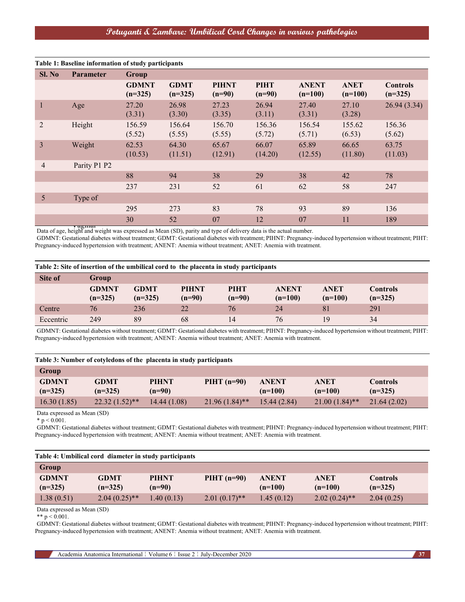# **Potuganti & Zambare: Umbilical Cord Changes in various pathologies**

| Sl. No         | <b>Parameter</b> | Group                     |                          |                          |                         |                           |                          |                              |
|----------------|------------------|---------------------------|--------------------------|--------------------------|-------------------------|---------------------------|--------------------------|------------------------------|
|                |                  | <b>GDMNT</b><br>$(n=325)$ | <b>GDMT</b><br>$(n=325)$ | <b>PIHNT</b><br>$(n=90)$ | <b>PIHT</b><br>$(n=90)$ | <b>ANENT</b><br>$(n=100)$ | <b>ANET</b><br>$(n=100)$ | <b>Controls</b><br>$(n=325)$ |
| 1              | Age              | 27.20<br>(3.31)           | 26.98<br>(3.30)          | 27.23<br>(3.35)          | 26.94<br>(3.11)         | 27.40<br>(3.31)           | 27.10<br>(3.28)          | 26.94(3.34)                  |
| $\overline{2}$ | Height           | 156.59<br>(5.52)          | 156.64<br>(5.55)         | 156.70<br>(5.55)         | 156.36<br>(5.72)        | 156.54<br>(5.71)          | 155.62<br>(6.53)         | 156.36<br>(5.62)             |
| 3              | Weight           | 62.53<br>(10.53)          | 64.30<br>(11.51)         | 65.67<br>(12.91)         | 66.07<br>(14.20)        | 65.89<br>(12.55)          | 66.65<br>(11.80)         | 63.75<br>(11.03)             |
| $\overline{4}$ | Parity P1 P2     |                           |                          |                          |                         |                           |                          |                              |
|                |                  | 88                        | 94                       | 38                       | 29                      | 38                        | 42                       | 78                           |
|                |                  | 237                       | 231                      | 52                       | 61                      | 62                        | 58                       | 247                          |
| $\mathfrak{S}$ | Type of          |                           |                          |                          |                         |                           |                          |                              |
|                |                  | 295                       | 273                      | 83                       | 78                      | 93                        | 89                       | 136                          |
|                |                  | 30                        | 52                       | 07                       | 12                      | 07                        | 11                       | 189                          |

vaginal<br>Data of age, height and weight was expressed as Mean (SD), parity and type of delivery data is the actual number.

GDMNT: Gestational diabetes without treatment; GDMT: Gestational diabetes with treatment; PIHNT: Pregnancy-induced hypertension without treatment; PIHT: Pregnancy-induced hypertension with treatment; ANENT: Anemia without treatment; ANET: Anemia with treatment.

| Table 2: Site of insertion of the umbilical cord to the placenta in study participants |                           |                          |                          |                         |                           |                          |                              |
|----------------------------------------------------------------------------------------|---------------------------|--------------------------|--------------------------|-------------------------|---------------------------|--------------------------|------------------------------|
| Site of                                                                                | Group                     |                          |                          |                         |                           |                          |                              |
|                                                                                        | <b>GDMNT</b><br>$(n=325)$ | <b>GDMT</b><br>$(n=325)$ | <b>PIHNT</b><br>$(n=90)$ | <b>PIHT</b><br>$(n=90)$ | <b>ANENT</b><br>$(n=100)$ | <b>ANET</b><br>$(n=100)$ | <b>Controls</b><br>$(n=325)$ |
| Centre                                                                                 | 76                        | 236                      | 22                       | 76                      | 24                        | 81                       | 291                          |
| Eccentric                                                                              | 249                       | 89                       | 68                       | 14                      | 76                        | 19                       | 34                           |

GDMNT: Gestational diabetes without treatment; GDMT: Gestational diabetes with treatment; PIHNT: Pregnancy-induced hypertension without treatment; PIHT: Pregnancy-induced hypertension with treatment; ANENT: Anemia without treatment; ANET: Anemia with treatment.

| Table 3: Number of cotyledons of the placenta in study participants |                  |              |                  |              |                  |                 |  |
|---------------------------------------------------------------------|------------------|--------------|------------------|--------------|------------------|-----------------|--|
| Group                                                               |                  |              |                  |              |                  |                 |  |
| <b>GDMNT</b>                                                        | <b>GDMT</b>      | <b>PIHNT</b> | $PIHT(n=90)$     | <b>ANENT</b> | <b>ANET</b>      | <b>Controls</b> |  |
| $(n=325)$                                                           | $(n=325)$        | $(n=90)$     |                  | $(n=100)$    | $(n=100)$        | $(n=325)$       |  |
| 16.30(1.85)                                                         | $22.32(1.52)$ ** | 14.44 (1.08) | $21.96(1.84)$ ** | 15.44(2.84)  | $21.00(1.84)$ ** | 21.64(2.02)     |  |

Data expressed as Mean (SD)

 $*$  p < 0.001.

GDMNT: Gestational diabetes without treatment; GDMT: Gestational diabetes with treatment; PIHNT: Pregnancy-induced hypertension without treatment; PIHT: Pregnancy-induced hypertension with treatment; ANENT: Anemia without treatment; ANET: Anemia with treatment.

| Table 4: Umbilical cord diameter in study participants |                          |                          |                 |                           |                          |                              |  |
|--------------------------------------------------------|--------------------------|--------------------------|-----------------|---------------------------|--------------------------|------------------------------|--|
| Group                                                  |                          |                          |                 |                           |                          |                              |  |
| <b>GDMNT</b><br>$(n=325)$                              | <b>GDMT</b><br>$(n=325)$ | <b>PIHNT</b><br>$(n=90)$ | PIHT $(n=90)$   | <b>ANENT</b><br>$(n=100)$ | <b>ANET</b><br>$(n=100)$ | <b>Controls</b><br>$(n=325)$ |  |
| 1.38(0.51)                                             | $2.04(0.25)$ **          | 1.40(0.13)               | $2.01(0.17)$ ** | 1.45(0.12)                | $2.02(0.24)$ **          | 2.04(0.25)                   |  |

Data expressed as Mean (SD)

\*\*  $p < 0.001$ .

GDMNT: Gestational diabetes without treatment; GDMT: Gestational diabetes with treatment; PIHNT: Pregnancy-induced hypertension without treatment; PIHT: Pregnancy-induced hypertension with treatment; ANENT: Anemia without treatment; ANET: Anemia with treatment.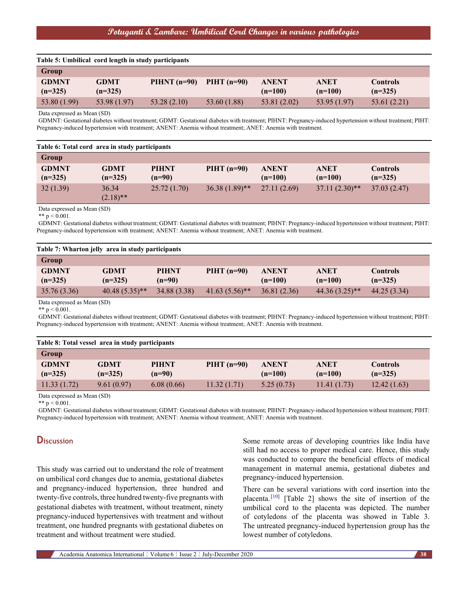| Table 5: Umbilical cord length in study participants |                          |                |               |                           |                          |                              |  |
|------------------------------------------------------|--------------------------|----------------|---------------|---------------------------|--------------------------|------------------------------|--|
| Group                                                |                          |                |               |                           |                          |                              |  |
| <b>GDMNT</b><br>$(n=325)$                            | <b>GDMT</b><br>$(n=325)$ | PIHNT $(n=90)$ | PIHT $(n=90)$ | <b>ANENT</b><br>$(n=100)$ | <b>ANET</b><br>$(n=100)$ | <b>Controls</b><br>$(n=325)$ |  |
| 53.80 (1.99)                                         | 53.98 (1.97)             | 53.28(2.10)    | 53.60 (1.88)  | 53.81 (2.02)              | 53.95 (1.97)             | 53.61 (2.21)                 |  |

Data expressed as Mean (SD)

GDMNT: Gestational diabetes without treatment; GDMT: Gestational diabetes with treatment; PIHNT: Pregnancy-induced hypertension without treatment; PIHT: Pregnancy-induced hypertension with treatment; ANENT: Anemia without treatment; ANET: Anemia with treatment.

| Group                     |                          |                          |                  |                           |                          |                              |
|---------------------------|--------------------------|--------------------------|------------------|---------------------------|--------------------------|------------------------------|
| <b>GDMNT</b><br>$(n=325)$ | <b>GDMT</b><br>$(n=325)$ | <b>PIHNT</b><br>$(n=90)$ | $PIHT$ (n=90)    | <b>ANENT</b><br>$(n=100)$ | <b>ANET</b><br>$(n=100)$ | <b>Controls</b><br>$(n=325)$ |
| 32(1.39)                  | 36.34<br>$(2.18)$ **     | 25.72(1.70)              | $36.38(1.89)$ ** | 27.11(2.69)               | $37.11(2.30)$ **         | 37.03(2.47)                  |

Data expressed as Mean (SD)

\*\*  $p < 0.001$ .

GDMNT: Gestational diabetes without treatment; GDMT: Gestational diabetes with treatment; PIHNT: Pregnancy-induced hypertension without treatment; PIHT: Pregnancy-induced hypertension with treatment; ANENT: Anemia without treatment; ANET: Anemia with treatment.

| Table 7: Wharton jelly area in study participants |                          |                          |                             |                           |                          |                              |  |
|---------------------------------------------------|--------------------------|--------------------------|-----------------------------|---------------------------|--------------------------|------------------------------|--|
| Group                                             |                          |                          |                             |                           |                          |                              |  |
| <b>GDMNT</b><br>$(n=325)$                         | <b>GDMT</b><br>$(n=325)$ | <b>PIHNT</b><br>$(n=90)$ | $PIHT$ (n=90)               | <b>ANENT</b><br>$(n=100)$ | <b>ANET</b><br>$(n=100)$ | <b>Controls</b><br>$(n=325)$ |  |
| 35.76 (3.36)                                      | $40.48(5.35)$ **         | 34.88 (3.38)             | $41.63(5.56)$ <sup>**</sup> | 36.81(2.36)               | $44.36(3.25)$ **         | 44.25 (3.34)                 |  |

Data expressed as Mean (SD) \*\*  $p < 0.001$ .

GDMNT: Gestational diabetes without treatment; GDMT: Gestational diabetes with treatment; PIHNT: Pregnancy-induced hypertension without treatment; PIHT: Pregnancy-induced hypertension with treatment; ANENT: Anemia without treatment; ANET: Anemia with treatment.

| Table 8: Total vessel area in study participants |             |              |               |              |             |                 |  |
|--------------------------------------------------|-------------|--------------|---------------|--------------|-------------|-----------------|--|
| Group                                            |             |              |               |              |             |                 |  |
| <b>GDMNT</b>                                     | <b>GDMT</b> | <b>PIHNT</b> | $PIHT$ (n=90) | <b>ANENT</b> | <b>ANET</b> | <b>Controls</b> |  |
| $(n=325)$                                        | $(n=325)$   | $(n=90)$     |               | $(n=100)$    | $(n=100)$   | $(n=325)$       |  |
| 11.33(1.72)                                      | 9.61(0.97)  | 6.08(0.66)   | 11.32(1.71)   | 5.25(0.73)   | 11.41(1.73) | 12.42(1.63)     |  |

Data expressed as Mean (SD)

\*\*  $p < 0.001$ .

GDMNT: Gestational diabetes without treatment; GDMT: Gestational diabetes with treatment; PIHNT: Pregnancy-induced hypertension without treatment; PIHT: Pregnancy-induced hypertension with treatment; ANENT: Anemia without treatment; ANET: Anemia with treatment.

# **Discussion**

This study was carried out to understand the role of treatment on umbilical cord changes due to anemia, gestational diabetes and pregnancy-induced hypertension, three hundred and twenty-five controls, three hundred twenty-five pregnants with gestational diabetes with treatment, without treatment, ninety pregnancy-induced hypertensives with treatment and without treatment, one hundred pregnants with gestational diabetes on treatment and without treatment were studied.

Some remote areas of developing countries like India have still had no access to proper medical care. Hence, this study was conducted to compare the beneficial effects of medical management in maternal anemia, gestational diabetes and pregnancy-induced hypertension.

There can be several variations with cord insertion into the placenta.<sup>[\[10](#page-5-2)]</sup> [Table 2] shows the site of insertion of the umbilical cord to the placenta was depicted. The number of cotyledons of the placenta was showed in Table 3. The untreated pregnancy-induced hypertension group has the lowest number of cotyledons.

Academia Anatomica International | Volume 6 | Issue 2 | July-December 2020 **38**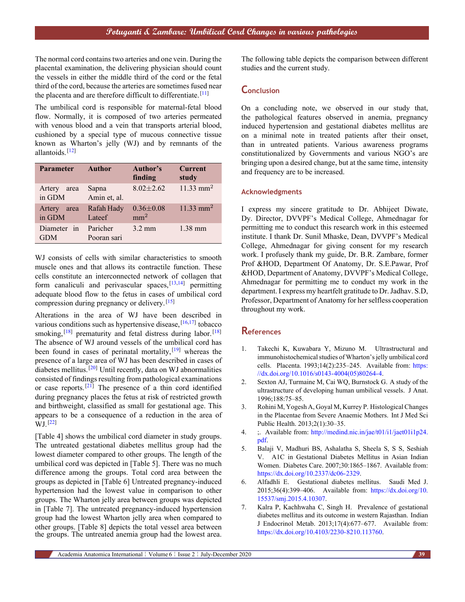The normal cord contains two arteries and one vein. During the placental examination, the delivering physician should count the vessels in either the middle third of the cord or the fetal third of the cord, because the arteries are sometimes fused near the placenta and are therefore difficult to differentiate.<sup>[[11\]](#page-5-3)</sup>

The umbilical cord is responsible for maternal-fetal blood flow. Normally, it is composed of two arteries permeated with venous blood and a vein that transports arterial blood, cushioned by a special type of mucous connective tissue known as Wharton's jelly (WJ) and by remnants of the allantoids.[[12\]](#page-5-4)

| <b>Parameter</b>         | Author                  | Author's<br>finding                | <b>Current</b><br>study |
|--------------------------|-------------------------|------------------------------------|-------------------------|
| Artery<br>area<br>in GDM | Sapna<br>Amin et, al.   | $8.02 \pm 2.62$                    | $11.33$ mm <sup>2</sup> |
| Artery<br>area<br>in GDM | Rafah Hady<br>Lateef    | $0.36 \pm 0.08$<br>mm <sup>2</sup> | $11.33$ mm <sup>2</sup> |
| Diameter in<br>GDM       | Paricher<br>Pooran sari | $3.2 \text{ mm}$                   | $1.38$ mm               |

WJ consists of cells with similar characteristics to smooth muscle ones and that allows its contractile function. These cells constitute an interconnected network of collagen that form canaliculi and perivascular spaces,  $[13,14]$  $[13,14]$  $[13,14]$  permitting adequate blood flow to the fetus in cases of umbilical cord compression during pregnancy or delivery.[[15\]](#page-5-7)

Alterations in the area of WJ have been described in various conditions such as hypertensive disease,  $[16,17]$  $[16,17]$  $[16,17]$  tobacco smoking,  $[18]$  $[18]$  prematurity and fetal distress during labor.  $[18]$ The absence of WJ around vessels of the umbilical cord has been found in cases of perinatal mortality, $[19]$  $[19]$  whereas the presence of a large area of WJ has been described in cases of diabetes mellitus.[[20\]](#page-5-12) Until recently, data on WJ abnormalities consisted of findings resulting from pathological examinations or case reports.<sup>[\[21](#page-5-13)]</sup> The presence of a thin cord identified during pregnancy places the fetus at risk of restricted growth and birthweight, classified as small for gestational age. This appears to be a consequence of a reduction in the area of  $WJ.$ <sup>[\[22](#page-5-14)]</sup>

[Table 4] shows the umbilical cord diameter in study groups. The untreated gestational diabetes mellitus group had the lowest diameter compared to other groups. The length of the umbilical cord was depicted in [Table 5]. There was no much difference among the groups. Total cord area between the groups as depicted in [Table 6] Untreated pregnancy-induced hypertension had the lowest value in comparison to other groups. The Wharton jelly area between groups was depicted in [Table 7]. The untreated pregnancy-induced hypertension group had the lowest Wharton jelly area when compared to other groups. [Table 8] depicts the total vessel area between the groups. The untreated anemia group had the lowest area.

The following table depicts the comparison between different studies and the current study.

# **Conclusion**

On a concluding note, we observed in our study that, the pathological features observed in anemia, pregnancy induced hypertension and gestational diabetes mellitus are on a minimal note in treated patients after their onset, than in untreated patients. Various awareness programs constitutionalized by Governments and various NGO's are bringing upon a desired change, but at the same time, intensity and frequency are to be increased.

## **Acknowledgments**

I express my sincere gratitude to Dr. Abhijeet Diwate, Dy. Director, DVVPF's Medical College, Ahmednagar for permitting me to conduct this research work in this esteemed institute. I thank Dr. Sunil Mhaske, Dean, DVVPF's Medical College, Ahmednagar for giving consent for my research work. I profusely thank my guide, Dr. B.R. Zambare, former Prof &HOD, Department Of Anatomy, Dr. S.E.Pawar, Prof &HOD, Department of Anatomy, DVVPF's Medical College, Ahmednagar for permitting me to conduct my work in the department. I express my heartfelt gratitude to Dr. Jadhav. S.D, Professor, Department of Anatomy for her selfless cooperation throughout my work.

## **References**

- <span id="page-4-0"></span>1. Takechi K, Kuwabara Y, Mizuno M. Ultrastructural and immunohistochemical studies of Wharton's jelly umbilical cord cells. Placenta. 1993;14(2):235–245. Available from: [https:](https://dx.doi.org/10.1016/s0143-4004(05)80264-4) [//dx.doi.org/10.1016/s0143-4004\(05\)80264-4](https://dx.doi.org/10.1016/s0143-4004(05)80264-4).
- <span id="page-4-1"></span>2. Sexton AJ, Turmaine M, Cai WQ, Burnstock G. A study of the ultrastructure of developing human umbilical vessels. J Anat. 1996;188:75–85.
- <span id="page-4-2"></span>3. Rohini M, Yogesh A, Goyal M, Kurrey P. Histological Changes in the Placentae from Severe Anaemic Mothers. Int J Med Sci Public Health. 2013;2(1):30–35.
- <span id="page-4-3"></span>4. ; Available from: [http://medind.nic.in/jae/t01/i1/jaet01i1p24.](http://medind.nic.in/jae/t01/i1/jaet01i1p24.pdf) [pdf.](http://medind.nic.in/jae/t01/i1/jaet01i1p24.pdf)
- <span id="page-4-4"></span>5. Balaji V, Madhuri BS, Ashalatha S, Sheela S, S S, Seshiah V. A1C in Gestational Diabetes Mellitus in Asian Indian Women. Diabetes Care. 2007;30:1865–1867. Available from: [https://dx.doi.org/10.2337/dc06-2329.](https://dx.doi.org/10.2337/dc06-2329)
- 6. Alfadhli E. Gestational diabetes mellitus. Saudi Med J. 2015;36(4):399–406. Available from: [https://dx.doi.org/10.](https://dx.doi.org/10.15537/smj.2015.4.10307) [15537/smj.2015.4.10307](https://dx.doi.org/10.15537/smj.2015.4.10307).
- <span id="page-4-5"></span>7. Kalra P, Kachhwaha C, Singh H. Prevalence of gestational diabetes mellitus and its outcome in western Rajasthan. Indian J Endocrinol Metab. 2013;17(4):677–677. Available from: <https://dx.doi.org/10.4103/2230-8210.113760>.

Academia Anatomica International | Volume 6 | Issue 2 | July-December 2020 **39**